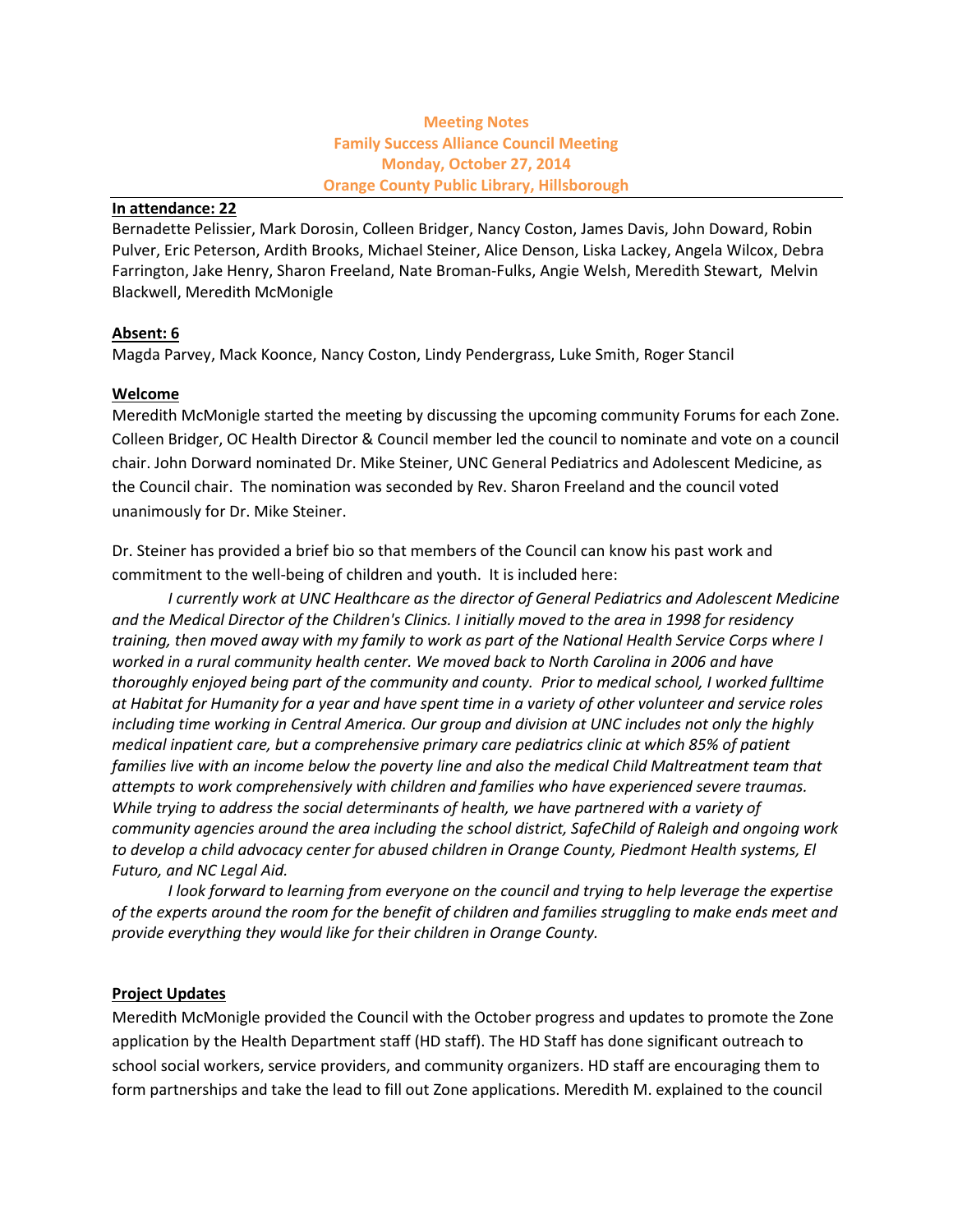# **Meeting Notes Family Success Alliance Council Meeting Monday, October 27, 2014 Orange County Public Library, Hillsborough**

#### **In attendance: 22**

Bernadette Pelissier, Mark Dorosin, Colleen Bridger, Nancy Coston, James Davis, John Doward, Robin Pulver, Eric Peterson, Ardith Brooks, Michael Steiner, Alice Denson, Liska Lackey, Angela Wilcox, Debra Farrington, Jake Henry, Sharon Freeland, Nate Broman-Fulks, Angie Welsh, Meredith Stewart, Melvin Blackwell, Meredith McMonigle

# **Absent: 6**

Magda Parvey, Mack Koonce, Nancy Coston, Lindy Pendergrass, Luke Smith, Roger Stancil

### **Welcome**

Meredith McMonigle started the meeting by discussing the upcoming community Forums for each Zone. Colleen Bridger, OC Health Director & Council member led the council to nominate and vote on a council chair. John Dorward nominated Dr. Mike Steiner, UNC General Pediatrics and Adolescent Medicine, as the Council chair. The nomination was seconded by Rev. Sharon Freeland and the council voted unanimously for Dr. Mike Steiner.

Dr. Steiner has provided a brief bio so that members of the Council can know his past work and commitment to the well-being of children and youth. It is included here:

*I currently work at UNC Healthcare as the director of General Pediatrics and Adolescent Medicine and the Medical Director of the Children's Clinics. I initially moved to the area in 1998 for residency training, then moved away with my family to work as part of the National Health Service Corps where I worked in a rural community health center. We moved back to North Carolina in 2006 and have thoroughly enjoyed being part of the community and county. Prior to medical school, I worked fulltime at Habitat for Humanity for a year and have spent time in a variety of other volunteer and service roles including time working in Central America. Our group and division at UNC includes not only the highly medical inpatient care, but a comprehensive primary care pediatrics clinic at which 85% of patient families live with an income below the poverty line and also the medical Child Maltreatment team that attempts to work comprehensively with children and families who have experienced severe traumas. While trying to address the social determinants of health, we have partnered with a variety of community agencies around the area including the school district, SafeChild of Raleigh and ongoing work to develop a child advocacy center for abused children in Orange County, Piedmont Health systems, El Futuro, and NC Legal Aid.*

*I look forward to learning from everyone on the council and trying to help leverage the expertise of the experts around the room for the benefit of children and families struggling to make ends meet and provide everything they would like for their children in Orange County.*

# **Project Updates**

Meredith McMonigle provided the Council with the October progress and updates to promote the Zone application by the Health Department staff (HD staff). The HD Staff has done significant outreach to school social workers, service providers, and community organizers. HD staff are encouraging them to form partnerships and take the lead to fill out Zone applications. Meredith M. explained to the council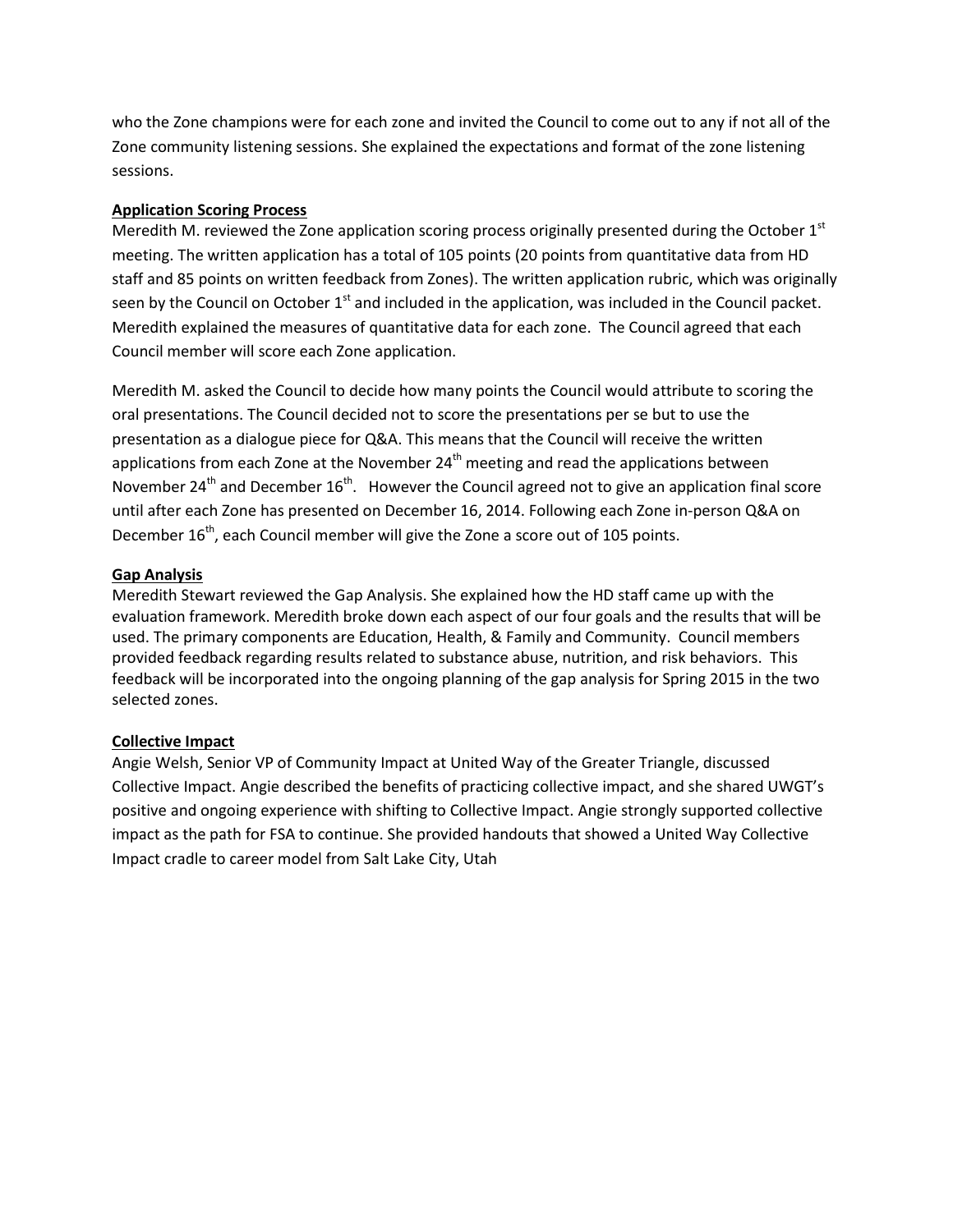who the Zone champions were for each zone and invited the Council to come out to any if not all of the Zone community listening sessions. She explained the expectations and format of the zone listening sessions.

### **Application Scoring Process**

Meredith M. reviewed the Zone application scoring process originally presented during the October  $1<sup>st</sup>$ meeting. The written application has a total of 105 points (20 points from quantitative data from HD staff and 85 points on written feedback from Zones). The written application rubric, which was originally seen by the Council on October 1<sup>st</sup> and included in the application, was included in the Council packet. Meredith explained the measures of quantitative data for each zone. The Council agreed that each Council member will score each Zone application.

Meredith M. asked the Council to decide how many points the Council would attribute to scoring the oral presentations. The Council decided not to score the presentations per se but to use the presentation as a dialogue piece for Q&A. This means that the Council will receive the written applications from each Zone at the November 24<sup>th</sup> meeting and read the applications between November 24<sup>th</sup> and December 16<sup>th</sup>. However the Council agreed not to give an application final score until after each Zone has presented on December 16, 2014. Following each Zone in-person Q&A on December 16<sup>th</sup>, each Council member will give the Zone a score out of 105 points.

# **Gap Analysis**

Meredith Stewart reviewed the Gap Analysis. She explained how the HD staff came up with the evaluation framework. Meredith broke down each aspect of our four goals and the results that will be used. The primary components are Education, Health, & Family and Community. Council members provided feedback regarding results related to substance abuse, nutrition, and risk behaviors. This feedback will be incorporated into the ongoing planning of the gap analysis for Spring 2015 in the two selected zones.

# **Collective Impact**

Angie Welsh, Senior VP of Community Impact at United Way of the Greater Triangle, discussed Collective Impact. Angie described the benefits of practicing collective impact, and she shared UWGT's positive and ongoing experience with shifting to Collective Impact. Angie strongly supported collective impact as the path for FSA to continue. She provided handouts that showed a United Way Collective Impact cradle to career model from Salt Lake City, Utah